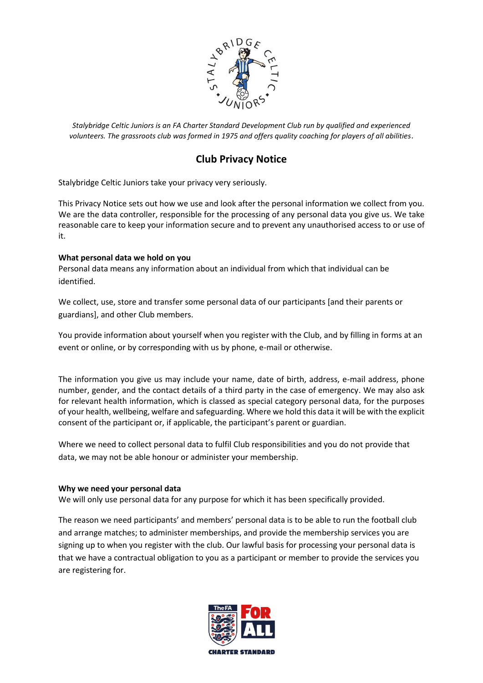

# **Club Privacy Notice**

Stalybridge Celtic Juniors take your privacy very seriously.

This Privacy Notice sets out how we use and look after the personal information we collect from you. We are the data controller, responsible for the processing of any personal data you give us. We take reasonable care to keep your information secure and to prevent any unauthorised access to or use of it.

## **What personal data we hold on you**

Personal data means any information about an individual from which that individual can be identified.

We collect, use, store and transfer some personal data of our participants [and their parents or guardians], and other Club members.

You provide information about yourself when you register with the Club, and by filling in forms at an event or online, or by corresponding with us by phone, e-mail or otherwise.

The information you give us may include your name, date of birth, address, e-mail address, phone number, gender, and the contact details of a third party in the case of emergency. We may also ask for relevant health information, which is classed as special category personal data, for the purposes of your health, wellbeing, welfare and safeguarding. Where we hold this data it will be with the explicit consent of the participant or, if applicable, the participant's parent or guardian.

Where we need to collect personal data to fulfil Club responsibilities and you do not provide that data, we may not be able honour or administer your membership.

## **Why we need your personal data**

We will only use personal data for any purpose for which it has been specifically provided.

The reason we need participants' and members' personal data is to be able to run the football club and arrange matches; to administer memberships, and provide the membership services you are signing up to when you register with the club. Our lawful basis for processing your personal data is that we have a contractual obligation to you as a participant or member to provide the services you are registering for.

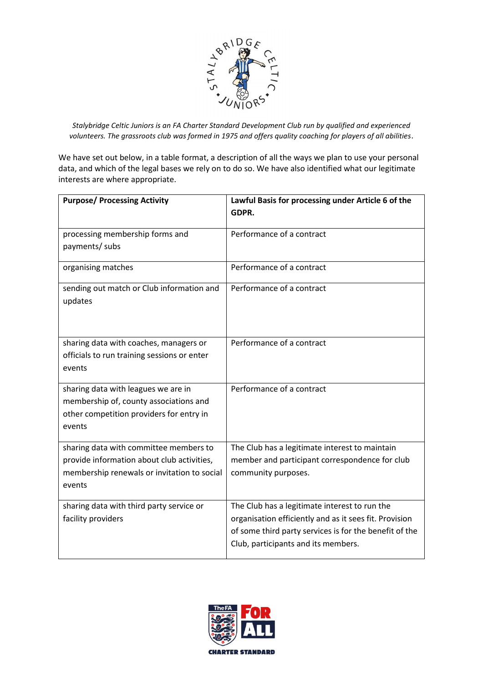

We have set out below, in a table format, a description of all the ways we plan to use your personal data, and which of the legal bases we rely on to do so. We have also identified what our legitimate interests are where appropriate.

| <b>Purpose/ Processing Activity</b>                                                                                                           | Lawful Basis for processing under Article 6 of the<br>GDPR.                                                                                                                                              |
|-----------------------------------------------------------------------------------------------------------------------------------------------|----------------------------------------------------------------------------------------------------------------------------------------------------------------------------------------------------------|
| processing membership forms and<br>payments/ subs                                                                                             | Performance of a contract                                                                                                                                                                                |
| organising matches                                                                                                                            | Performance of a contract                                                                                                                                                                                |
| sending out match or Club information and<br>updates                                                                                          | Performance of a contract                                                                                                                                                                                |
| sharing data with coaches, managers or<br>officials to run training sessions or enter<br>events                                               | Performance of a contract                                                                                                                                                                                |
| sharing data with leagues we are in<br>membership of, county associations and<br>other competition providers for entry in<br>events           | Performance of a contract                                                                                                                                                                                |
| sharing data with committee members to<br>provide information about club activities,<br>membership renewals or invitation to social<br>events | The Club has a legitimate interest to maintain<br>member and participant correspondence for club<br>community purposes.                                                                                  |
| sharing data with third party service or<br>facility providers                                                                                | The Club has a legitimate interest to run the<br>organisation efficiently and as it sees fit. Provision<br>of some third party services is for the benefit of the<br>Club, participants and its members. |

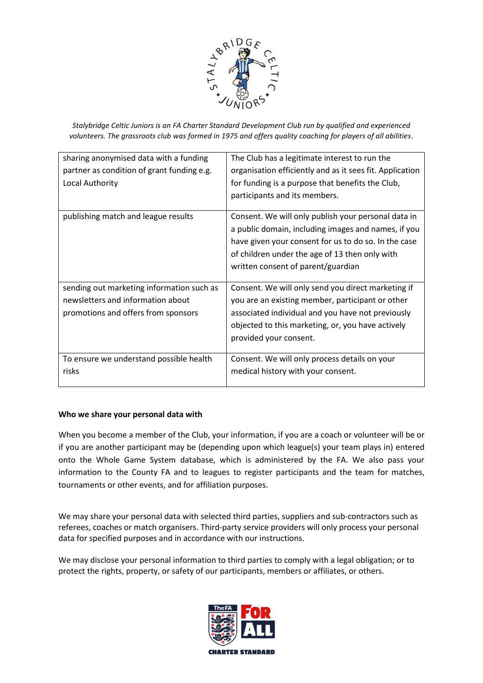

| sharing anonymised data with a funding<br>partner as condition of grant funding e.g.<br>Local Authority               | The Club has a legitimate interest to run the<br>organisation efficiently and as it sees fit. Application<br>for funding is a purpose that benefits the Club,<br>participants and its members.                                                             |
|-----------------------------------------------------------------------------------------------------------------------|------------------------------------------------------------------------------------------------------------------------------------------------------------------------------------------------------------------------------------------------------------|
| publishing match and league results                                                                                   | Consent. We will only publish your personal data in<br>a public domain, including images and names, if you<br>have given your consent for us to do so. In the case<br>of children under the age of 13 then only with<br>written consent of parent/guardian |
| sending out marketing information such as<br>newsletters and information about<br>promotions and offers from sponsors | Consent. We will only send you direct marketing if<br>you are an existing member, participant or other<br>associated individual and you have not previously<br>objected to this marketing, or, you have actively<br>provided your consent.                 |
| To ensure we understand possible health<br>risks                                                                      | Consent. We will only process details on your<br>medical history with your consent.                                                                                                                                                                        |

## **Who we share your personal data with**

When you become a member of the Club, your information, if you are a coach or volunteer will be or if you are another participant may be (depending upon which league(s) your team plays in) entered onto the Whole Game System database, which is administered by the FA. We also pass your information to the County FA and to leagues to register participants and the team for matches, tournaments or other events, and for affiliation purposes.

We may share your personal data with selected third parties, suppliers and sub-contractors such as referees, coaches or match organisers. Third-party service providers will only process your personal data for specified purposes and in accordance with our instructions.

We may disclose your personal information to third parties to comply with a legal obligation; or to protect the rights, property, or safety of our participants, members or affiliates, or others.